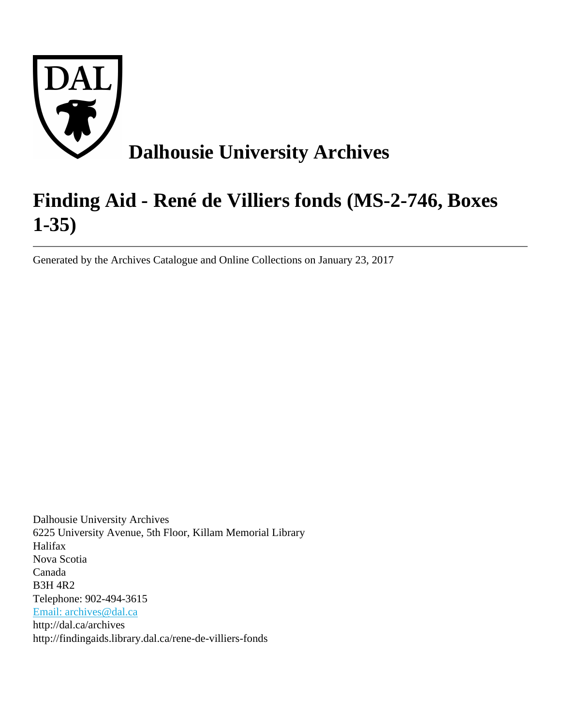

# **Finding Aid - René de Villiers fonds (MS-2-746, Boxes 1-35)**

Generated by the Archives Catalogue and Online Collections on January 23, 2017

Dalhousie University Archives 6225 University Avenue, 5th Floor, Killam Memorial Library Halifax Nova Scotia Canada B3H 4R2 Telephone: 902-494-3615 [Email: archives@dal.ca](mailto:Email: archives@dal.ca) http://dal.ca/archives http://findingaids.library.dal.ca/rene-de-villiers-fonds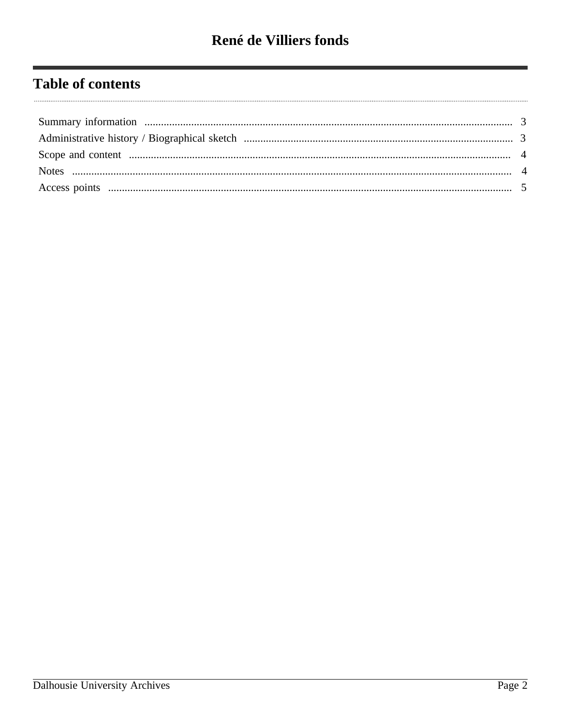# **Table of contents**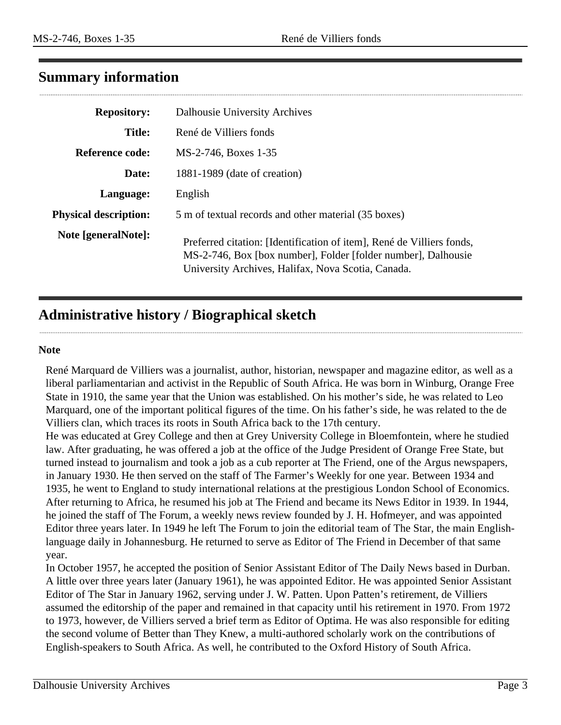# <span id="page-2-0"></span>**Summary information**

| <b>Repository:</b>           | Dalhousie University Archives                                                                                                                                                                |
|------------------------------|----------------------------------------------------------------------------------------------------------------------------------------------------------------------------------------------|
| <b>Title:</b>                | René de Villiers fonds                                                                                                                                                                       |
| Reference code:              | MS-2-746, Boxes 1-35                                                                                                                                                                         |
| Date:                        | 1881-1989 (date of creation)                                                                                                                                                                 |
| Language:                    | English                                                                                                                                                                                      |
| <b>Physical description:</b> | 5 m of textual records and other material (35 boxes)                                                                                                                                         |
| Note [generalNote]:          | Preferred citation: [Identification of item], René de Villiers fonds,<br>MS-2-746, Box [box number], Folder [folder number], Dalhousie<br>University Archives, Halifax, Nova Scotia, Canada. |

# <span id="page-2-1"></span>**Administrative history / Biographical sketch**

#### **Note**

René Marquard de Villiers was a journalist, author, historian, newspaper and magazine editor, as well as a liberal parliamentarian and activist in the Republic of South Africa. He was born in Winburg, Orange Free State in 1910, the same year that the Union was established. On his mother's side, he was related to Leo Marquard, one of the important political figures of the time. On his father's side, he was related to the de Villiers clan, which traces its roots in South Africa back to the 17th century.

He was educated at Grey College and then at Grey University College in Bloemfontein, where he studied law. After graduating, he was offered a job at the office of the Judge President of Orange Free State, but turned instead to journalism and took a job as a cub reporter at The Friend, one of the Argus newspapers, in January 1930. He then served on the staff of The Farmer's Weekly for one year. Between 1934 and 1935, he went to England to study international relations at the prestigious London School of Economics. After returning to Africa, he resumed his job at The Friend and became its News Editor in 1939. In 1944, he joined the staff of The Forum, a weekly news review founded by J. H. Hofmeyer, and was appointed Editor three years later. In 1949 he left The Forum to join the editorial team of The Star, the main Englishlanguage daily in Johannesburg. He returned to serve as Editor of The Friend in December of that same year.

In October 1957, he accepted the position of Senior Assistant Editor of The Daily News based in Durban. A little over three years later (January 1961), he was appointed Editor. He was appointed Senior Assistant Editor of The Star in January 1962, serving under J. W. Patten. Upon Patten's retirement, de Villiers assumed the editorship of the paper and remained in that capacity until his retirement in 1970. From 1972 to 1973, however, de Villiers served a brief term as Editor of Optima. He was also responsible for editing the second volume of Better than They Knew, a multi-authored scholarly work on the contributions of English-speakers to South Africa. As well, he contributed to the Oxford History of South Africa.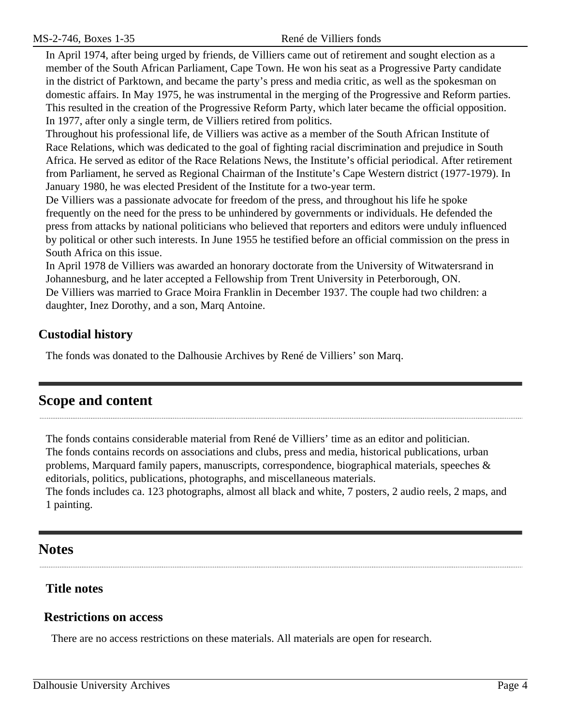In April 1974, after being urged by friends, de Villiers came out of retirement and sought election as a member of the South African Parliament, Cape Town. He won his seat as a Progressive Party candidate in the district of Parktown, and became the party's press and media critic, as well as the spokesman on domestic affairs. In May 1975, he was instrumental in the merging of the Progressive and Reform parties. This resulted in the creation of the Progressive Reform Party, which later became the official opposition. In 1977, after only a single term, de Villiers retired from politics.

Throughout his professional life, de Villiers was active as a member of the South African Institute of Race Relations, which was dedicated to the goal of fighting racial discrimination and prejudice in South Africa. He served as editor of the Race Relations News, the Institute's official periodical. After retirement from Parliament, he served as Regional Chairman of the Institute's Cape Western district (1977-1979). In January 1980, he was elected President of the Institute for a two-year term.

De Villiers was a passionate advocate for freedom of the press, and throughout his life he spoke frequently on the need for the press to be unhindered by governments or individuals. He defended the press from attacks by national politicians who believed that reporters and editors were unduly influenced by political or other such interests. In June 1955 he testified before an official commission on the press in South Africa on this issue.

In April 1978 de Villiers was awarded an honorary doctorate from the University of Witwatersrand in Johannesburg, and he later accepted a Fellowship from Trent University in Peterborough, ON. De Villiers was married to Grace Moira Franklin in December 1937. The couple had two children: a daughter, Inez Dorothy, and a son, Marq Antoine.

### **Custodial history**

The fonds was donated to the Dalhousie Archives by René de Villiers' son Marq.

# <span id="page-3-0"></span>**Scope and content**

The fonds contains considerable material from René de Villiers' time as an editor and politician. The fonds contains records on associations and clubs, press and media, historical publications, urban problems, Marquard family papers, manuscripts, correspondence, biographical materials, speeches & editorials, politics, publications, photographs, and miscellaneous materials.

The fonds includes ca. 123 photographs, almost all black and white, 7 posters, 2 audio reels, 2 maps, and 1 painting.

# <span id="page-3-1"></span>**Notes**

**Title notes**

#### **Restrictions on access**

There are no access restrictions on these materials. All materials are open for research.